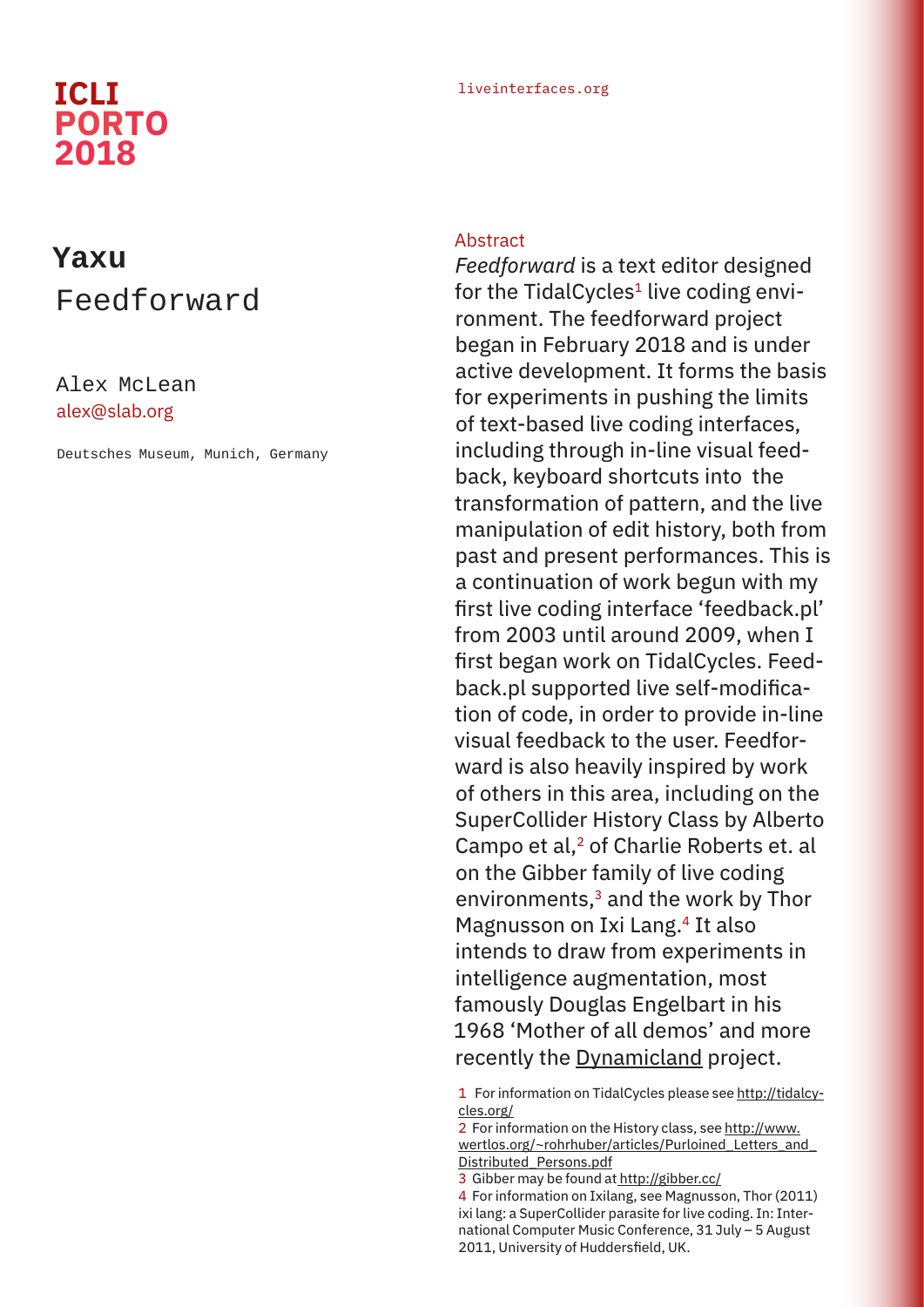# **PORTO 2018**

### liveinterfaces.org **ICLI**

## **Yaxu** Feedforward

### Alex McLean alex@slab.org

Deutsches Museum, Munich, Germany

#### **Abstract**

*Feedforward* is a text editor designed for the TidalCycles<sup>1</sup> live coding environment. The feedforward project began in February 2018 and is under active development. It forms the basis for experiments in pushing the limits of text-based live coding interfaces, including through in-line visual feedback, keyboard shortcuts into the transformation of pattern, and the live manipulation of edit history, both from past and present performances. This is a continuation of work begun with my first live coding interface 'feedback.pl' from 2003 until around 2009, when I first began work on TidalCycles. Feedback.pl supported live self-modification of code, in order to provide in-line visual feedback to the user. Feedforward is also heavily inspired by work of others in this area, including on the SuperCollider History Class by Alberto Campo et al,<sup>2</sup> of Charlie Roberts et. al on the Gibber family of live coding environments,<sup>3</sup> and the work by Thor Magnusson on Ixi Lang.<sup>4</sup> It also intends to draw from experiments in intelligence augmentation, most famously Douglas Engelbart in his 1968 'Mother of all demos' and more recently the Dynamicland project.

1 For information on TidalCycles please see http://tidalcycles.org/

- 2 For information on the History class, see http://www. wertlos.org/~rohrhuber/articles/Purloined Letters and Distributed\_Persons.pdf
- 3 Gibber may be found at http://gibber.cc/
- 4 For information on Ixilang, see Magnusson, Thor (2011) ixi lang: a SuperCollider parasite for live coding. In: International Computer Music Conference, 31 July – 5 August 2011, University of Huddersfield, UK.